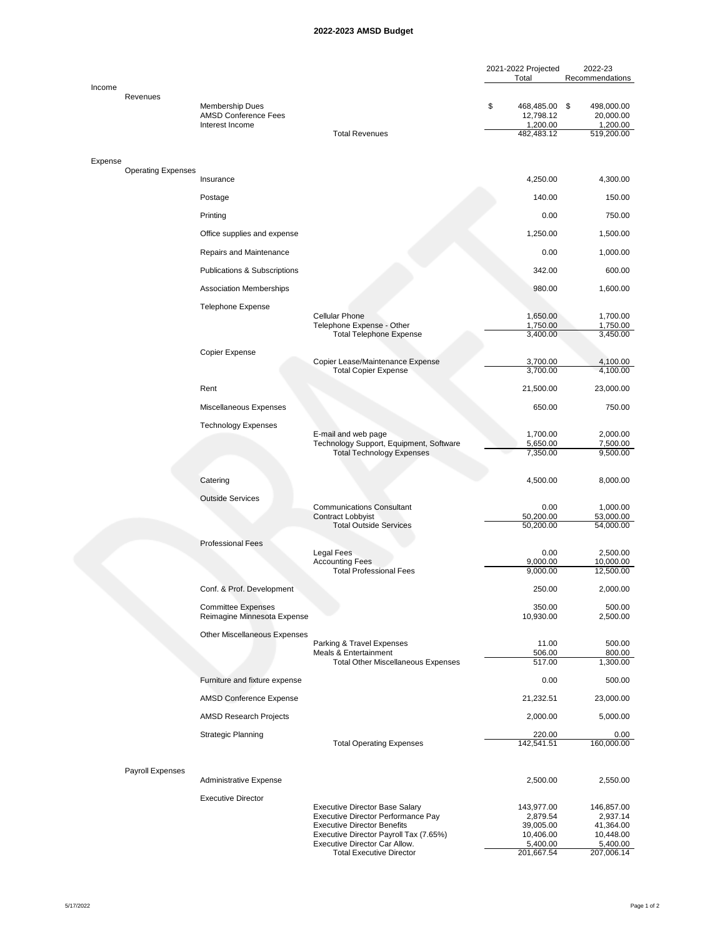## **2022-2023 AMSD Budget**

|         |                           |                                                                   |                                                                              | 2021-2022 Projected<br>Total                               | 2022-23<br>Recommendations                        |
|---------|---------------------------|-------------------------------------------------------------------|------------------------------------------------------------------------------|------------------------------------------------------------|---------------------------------------------------|
| Income  | Revenues                  | Membership Dues<br><b>AMSD Conference Fees</b><br>Interest Income | <b>Total Revenues</b>                                                        | \$<br>468,485.00 \$<br>12,798.12<br>1,200.00<br>482,483.12 | 498,000.00<br>20,000.00<br>1,200.00<br>519,200.00 |
|         |                           |                                                                   |                                                                              |                                                            |                                                   |
| Expense | <b>Operating Expenses</b> |                                                                   |                                                                              |                                                            |                                                   |
|         |                           | Insurance                                                         |                                                                              | 4,250.00                                                   | 4,300.00                                          |
|         |                           | Postage                                                           |                                                                              | 140.00                                                     | 150.00                                            |
|         |                           | Printing                                                          |                                                                              | 0.00                                                       | 750.00                                            |
|         |                           | Office supplies and expense                                       |                                                                              | 1,250.00                                                   | 1,500.00                                          |
|         |                           | Repairs and Maintenance                                           |                                                                              | 0.00                                                       | 1,000.00                                          |
|         |                           | <b>Publications &amp; Subscriptions</b>                           |                                                                              | 342.00                                                     | 600.00                                            |
|         |                           | <b>Association Memberships</b>                                    |                                                                              | 980.00                                                     | 1,600.00                                          |
|         |                           | <b>Telephone Expense</b>                                          | <b>Cellular Phone</b><br>Telephone Expense - Other                           | 1,650.00<br>1,750.00                                       | 1,700.00<br>1,750.00                              |
|         |                           |                                                                   | <b>Total Telephone Expense</b>                                               | 3,400.00                                                   | 3.450.00                                          |
|         |                           | Copier Expense                                                    | Copier Lease/Maintenance Expense                                             | 3,700.00                                                   | 4,100.00                                          |
|         |                           |                                                                   | <b>Total Copier Expense</b>                                                  | 3.700.00                                                   | 4,100.00                                          |
|         |                           | Rent                                                              |                                                                              | 21,500.00                                                  | 23,000.00                                         |
|         |                           | Miscellaneous Expenses                                            |                                                                              | 650.00                                                     | 750.00                                            |
|         |                           | <b>Technology Expenses</b>                                        | E-mail and web page                                                          | 1,700.00                                                   | 2,000.00                                          |
|         |                           |                                                                   | Technology Support, Equipment, Software<br><b>Total Technology Expenses</b>  | 5,650.00<br>7,350.00                                       | 7,500.00<br>9,500.00                              |
|         |                           | Catering                                                          |                                                                              | 4,500.00                                                   | 8,000.00                                          |
|         |                           | <b>Outside Services</b>                                           | <b>Communications Consultant</b>                                             | 0.00                                                       | 1,000.00                                          |
|         |                           |                                                                   | <b>Contract Lobbyist</b><br><b>Total Outside Services</b>                    | 50,200.00<br>50,200.00                                     | 53,000.00<br>54,000.00                            |
|         |                           | <b>Professional Fees</b>                                          |                                                                              |                                                            |                                                   |
|         |                           |                                                                   | Legal Fees<br><b>Accounting Fees</b>                                         | 0.00<br>9,000.00                                           | 2,500.00<br>10,000.00                             |
|         |                           |                                                                   | <b>Total Professional Fees</b>                                               | 9,000.00                                                   | 12,500.00                                         |
|         |                           | Conf. & Prof. Development                                         |                                                                              | 250.00                                                     | 2,000.00                                          |
|         |                           | <b>Committee Expenses</b><br>Reimagine Minnesota Expense          |                                                                              | 350.00<br>10,930.00                                        | 500.00<br>2,500.00                                |
|         |                           | <b>Other Miscellaneous Expenses</b>                               | Parking & Travel Expenses                                                    | 11.00                                                      | 500.00                                            |
|         |                           |                                                                   | Meals & Entertainment<br><b>Total Other Miscellaneous Expenses</b>           | 506.00<br>517.00                                           | 800.00<br>1,300.00                                |
|         |                           | Furniture and fixture expense                                     |                                                                              | 0.00                                                       | 500.00                                            |
|         |                           | <b>AMSD Conference Expense</b>                                    |                                                                              | 21,232.51                                                  | 23,000.00                                         |
|         |                           | <b>AMSD Research Projects</b>                                     |                                                                              | 2,000.00                                                   | 5,000.00                                          |
|         |                           | <b>Strategic Planning</b>                                         |                                                                              | 220.00                                                     | 0.00                                              |
|         |                           |                                                                   | <b>Total Operating Expenses</b>                                              | 142,541.51                                                 | 160,000.00                                        |
|         | Payroll Expenses          | Administrative Expense                                            |                                                                              | 2,500.00                                                   | 2,550.00                                          |
|         |                           | <b>Executive Director</b>                                         | <b>Executive Director Base Salary</b>                                        | 143,977.00                                                 | 146,857.00                                        |
|         |                           |                                                                   | Executive Director Performance Pay                                           | 2,879.54                                                   | 2,937.14                                          |
|         |                           |                                                                   | <b>Executive Director Benefits</b><br>Executive Director Payroll Tax (7.65%) | 39,005.00<br>10,406.00                                     | 41,364.00<br>10,448.00                            |
|         |                           |                                                                   | Executive Director Car Allow.<br><b>Total Executive Director</b>             | 5,400.00<br>201,667.54                                     | 5,400.00<br>207,006.14                            |